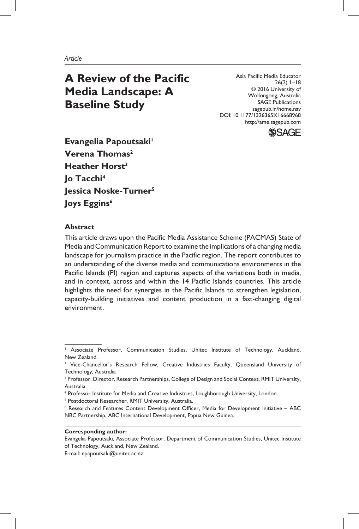# **A Review of the Pacific Media Landscape: A Baseline Study**

Asia Pacific Media Educator  $26(2)$  1–18 © 2016 University of Wollongong, Australia SAGE Publications sagepub.in/home.nav DOI: 10.1177/1326365X16668968 http://ame.sagepub.com



Evangelia Papoutsaki<sup>1</sup> **Verena Thomas2 Heather Horst3 Jo Tacchi4 Jessica Noske-Turner5** Joys Eggins<sup>6</sup>

### **Abstract**

This article draws upon the Pacific Media Assistance Scheme (PACMAS) State of Media and Communication Report to examine the implications of a changing media landscape for journalism practice in the Pacific region. The report contributes to an understanding of the diverse media and communications environments in the Pacific Islands (PI) region and captures aspects of the variations both in media, and in context, across and within the 14 Pacific Islands countries. This article highlights the need for synergies in the Pacific Islands to strengthen legislation, capacity-building initiatives and content production in a fast-changing digital environment.

<sup>5</sup> Postdoctoral Researcher, RMIT University, Australia.

#### **Corresponding author:**

E-mail: epapoutsaki@unitec.ac.nz

<sup>1</sup> Associate Professor, Communication Studies, Unitec Institute of Technology, Auckland, New Zealand.

<sup>2</sup> Vice-Chancellor's Research Fellow, Creative Industries Faculty, Queensland University of Technology, Australia

<sup>&</sup>lt;sup>3</sup> Professor, Director, Research Partnerships, College of Design and Social Context, RMIT University, Australia

<sup>4</sup> Professor Institute for Media and Creative Industries, Loughborough University, London.

<sup>6</sup> Research and Features Content Development Officer, Media for Development Initiative – ABC NBC Partnership, ABC International Development, Papua New Guinea.

Evangelia Papoutsaki, Associate Professor, Department of Communication Studies, Unitec Institute of Technology, Auckland, New Zealand.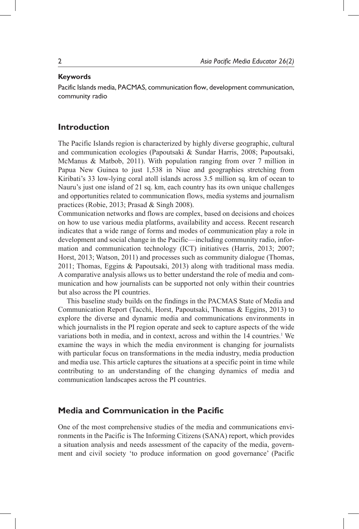#### **Keywords**

Pacific Islands media, PACMAS, communication flow, development communication, community radio

## **Introduction**

The Pacific Islands region is characterized by highly diverse geographic, cultural and communication ecologies (Papoutsaki & Sundar Harris, 2008; Papoutsaki, McManus & Matbob, 2011). With population ranging from over 7 million in Papua New Guinea to just 1,538 in Niue and geographies stretching from Kiribati's 33 low-lying coral atoll islands across 3.5 million sq. km of ocean to Nauru's just one island of 21 sq. km, each country has its own unique challenges and opportunities related to communication flows, media systems and journalism practices (Robie, 2013; Prasad & Singh 2008).

Communication networks and flows are complex, based on decisions and choices on how to use various media platforms, availability and access. Recent research indicates that a wide range of forms and modes of communication play a role in development and social change in the Pacific—including community radio, information and communication technology (ICT) initiatives (Harris, 2013; 2007; Horst, 2013; Watson, 2011) and processes such as community dialogue (Thomas, 2011; Thomas, Eggins & Papoutsaki, 2013) along with traditional mass media. A comparative analysis allows us to better understand the role of media and communication and how journalists can be supported not only within their countries but also across the PI countries.

This baseline study builds on the findings in the PACMAS State of Media and Communication Report (Tacchi, Horst, Papoutsaki, Thomas & Eggins, 2013) to explore the diverse and dynamic media and communications environments in which journalists in the PI region operate and seek to capture aspects of the wide variations both in media, and in context, across and within the 14 countries.<sup>1</sup> We examine the ways in which the media environment is changing for journalists with particular focus on transformations in the media industry, media production and media use. This article captures the situations at a specific point in time while contributing to an understanding of the changing dynamics of media and communication landscapes across the PI countries.

## **Media and Communication in the Pacific**

One of the most comprehensive studies of the media and communications environments in the Pacific is The Informing Citizens (SANA) report, which provides a situation analysis and needs assessment of the capacity of the media, government and civil society 'to produce information on good governance' (Pacific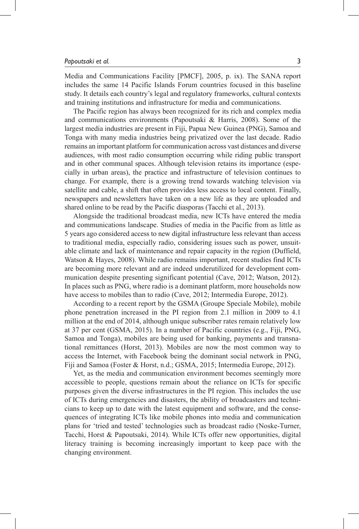#### *Papoutsaki et al.* 3

Media and Communications Facility [PMCF], 2005, p. ix). The SANA report includes the same 14 Pacific Islands Forum countries focused in this baseline study. It details each country's legal and regulatory frameworks, cultural contexts and training institutions and infrastructure for media and communications.

The Pacific region has always been recognized for its rich and complex media and communications environments (Papoutsaki & Harris, 2008). Some of the largest media industries are present in Fiji, Papua New Guinea (PNG), Samoa and Tonga with many media industries being privatized over the last decade. Radio remains an important platform for communication across vast distances and diverse audiences, with most radio consumption occurring while riding public transport and in other communal spaces. Although television retains its importance (especially in urban areas), the practice and infrastructure of television continues to change. For example, there is a growing trend towards watching television via satellite and cable, a shift that often provides less access to local content. Finally, newspapers and newsletters have taken on a new life as they are uploaded and shared online to be read by the Pacific diasporas (Tacchi et al., 2013).

Alongside the traditional broadcast media, new ICTs have entered the media and communications landscape. Studies of media in the Pacific from as little as 5 years ago considered access to new digital infrastructure less relevant than access to traditional media, especially radio, considering issues such as power, unsuitable climate and lack of maintenance and repair capacity in the region (Duffield, Watson & Hayes, 2008). While radio remains important, recent studies find ICTs are becoming more relevant and are indeed underutilized for development communication despite presenting significant potential (Cave, 2012; Watson, 2012). In places such as PNG, where radio is a dominant platform, more households now have access to mobiles than to radio (Cave, 2012; Intermedia Europe, 2012).

According to a recent report by the GSMA (Groupe Speciale Mobile), mobile phone penetration increased in the PI region from 2.1 million in 2009 to 4.1 million at the end of 2014, although unique subscriber rates remain relatively low at 37 per cent (GSMA, 2015). In a number of Pacific countries (e.g., Fiji, PNG, Samoa and Tonga), mobiles are being used for banking, payments and transnational remittances (Horst, 2013). Mobiles are now the most common way to access the Internet, with Facebook being the dominant social network in PNG, Fiji and Samoa (Foster & Horst, n.d.; GSMA, 2015; Intermedia Europe, 2012).

Yet, as the media and communication environment becomes seemingly more accessible to people, questions remain about the reliance on ICTs for specific purposes given the diverse infrastructures in the PI region. This includes the use of ICTs during emergencies and disasters, the ability of broadcasters and technicians to keep up to date with the latest equipment and software, and the consequences of integrating ICTs like mobile phones into media and communication plans for 'tried and tested' technologies such as broadcast radio (Noske-Turner, Tacchi, Horst & Papoutsaki, 2014). While ICTs offer new opportunities, digital literacy training is becoming increasingly important to keep pace with the changing environment.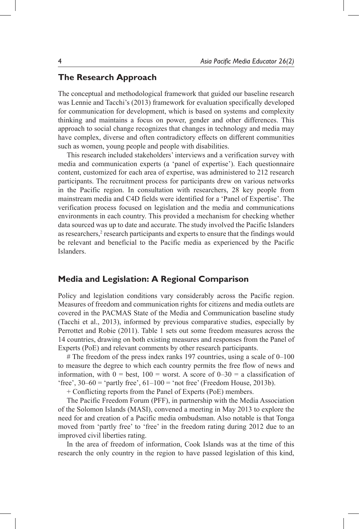## **The Research Approach**

The conceptual and methodological framework that guided our baseline research was Lennie and Tacchi's (2013) framework for evaluation specifically developed for communication for development, which is based on systems and complexity thinking and maintains a focus on power, gender and other differences. This approach to social change recognizes that changes in technology and media may have complex, diverse and often contradictory effects on different communities such as women, young people and people with disabilities.

This research included stakeholders' interviews and a verification survey with media and communication experts (a 'panel of expertise'). Each questionnaire content, customized for each area of expertise, was administered to 212 research participants. The recruitment process for participants drew on various networks in the Pacific region. In consultation with researchers, 28 key people from mainstream media and C4D fields were identified for a 'Panel of Expertise'. The verification process focused on legislation and the media and communications environments in each country. This provided a mechanism for checking whether data sourced was up to date and accurate. The study involved the Pacific Islanders as researchers,<sup>2</sup> research participants and experts to ensure that the findings would be relevant and beneficial to the Pacific media as experienced by the Pacific Islanders.

## **Media and Legislation: A Regional Comparison**

Policy and legislation conditions vary considerably across the Pacific region. Measures of freedom and communication rights for citizens and media outlets are covered in the PACMAS State of the Media and Communication baseline study (Tacchi et al., 2013), informed by previous comparative studies, especially by Perrottet and Robie (2011). Table 1 sets out some freedom measures across the 14 countries, drawing on both existing measures and responses from the Panel of Experts (PoE) and relevant comments by other research participants.

# The freedom of the press index ranks 197 countries, using a scale of 0–100 to measure the degree to which each country permits the free flow of news and information, with  $0 = \text{best}$ ,  $100 = \text{worst}$ . A score of  $0-30 = \text{a classification of}$ 'free',  $30-60$  = 'partly free',  $61-100$  = 'not free' (Freedom House, 2013b).

+ Conflicting reports from the Panel of Experts (PoE) members.

The Pacific Freedom Forum (PFF), in partnership with the Media Association of the Solomon Islands (MASI), convened a meeting in May 2013 to explore the need for and creation of a Pacific media ombudsman. Also notable is that Tonga moved from 'partly free' to 'free' in the freedom rating during 2012 due to an improved civil liberties rating.

In the area of freedom of information, Cook Islands was at the time of this research the only country in the region to have passed legislation of this kind,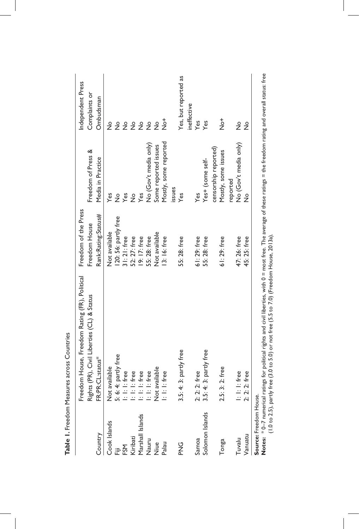|                        | Freedom House, Freedom Rating (FR), Political | Freedom of the Press |                       | Independent Press    |
|------------------------|-----------------------------------------------|----------------------|-----------------------|----------------------|
|                        | Rights (PR), Civil Liberties (CL) & Status    | Freedom House        | Freedom of Press &    | Complaints or        |
| Country                | R:PR:CL:status*                               | Rank:Rating:Status#  | Media in Practice     | Ombudsman            |
| Cook Islands           | Not available                                 | Not available        | Yes                   | $\frac{1}{2}$        |
|                        | 6: 4: partly free                             | 120: 56: partly free | ž                     |                      |
| ( )<br>12년             | I: I: free                                    | $31:21:$ free        | Yes                   |                      |
| Kiribati               | $l: l:$ free                                  | 52: 27: free         | $\frac{1}{2}$         | 2222                 |
| Marshall Islands       | $: 1: 1:$ free                                | 19: 17: free         | Yes                   |                      |
| Nauru                  | $ : : :$ free                                 | 55: 28: free         | No (Gov't media only) |                      |
| $\frac{e}{Z}$          | ot available                                  | Not available        | Some reported issues  | $\frac{1}{2}$        |
| Palau                  | $l: l:$ free                                  | 13: 16: free         | Mostly, some reported | $\frac{1}{2}$        |
|                        |                                               |                      | issues                |                      |
| PNG                    | 5: 4: 3: partly free                          | 55: 28: free         | Yes                   | Yes, but reported as |
|                        |                                               |                      |                       | ineffective          |
| Samoa                  | $2:2:$ free                                   | 61:29: free          | Yes                   | Yes                  |
| Solomon Islands        | .5: 4: 3: partly free                         | 55: 28: free         | Yes+ (some self-      | Yes                  |
|                        |                                               |                      | censorship reported)  |                      |
| Tonga                  | 2.5: 3: 2: free                               | 61:29: free          | Mostly, some issues   | $\frac{1}{2}$        |
|                        |                                               |                      | reported              |                      |
| Tuvalu                 | $: 1: 1:$ free                                | 47: 26: free         | No (Gov't media only) | $\frac{1}{2}$        |
| Vanuatu                | 2:2:free                                      | 45: 25: free         | $\frac{1}{2}$         | $\frac{1}{2}$        |
| Source: Freedom House. |                                               |                      |                       |                      |

Table 1. Freedom Measures across Countries **Table 1.** Freedom Measures across Countries

Notes: \* 0–7 numerical ratings for political rights and civil liberties, with 0 = most free. The average of these ratings = the freedom rating and overall status: free<br>(1.0 to 2.5), partly free (3.0 to 5.0) or not free (5. **Notes:** \* 0–7 numerical ratings for political rights and civil liberties, with 0 = most free. The average of these ratings = the freedom rating and overall status: free (1.0 to 2.5), partly free (3.0 to 5.0) or not free (5.5 to 7.0) (Freedom House, 2013a).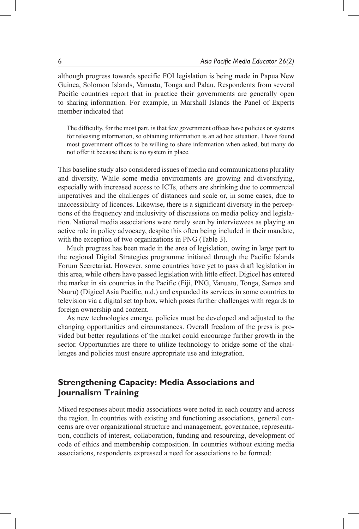although progress towards specific FOI legislation is being made in Papua New Guinea, Solomon Islands, Vanuatu, Tonga and Palau. Respondents from several Pacific countries report that in practice their governments are generally open to sharing information. For example, in Marshall Islands the Panel of Experts member indicated that

The difficulty, for the most part, is that few government offices have policies or systems for releasing information, so obtaining information is an ad hoc situation. I have found most government offices to be willing to share information when asked, but many do not offer it because there is no system in place.

This baseline study also considered issues of media and communications plurality and diversity. While some media environments are growing and diversifying, especially with increased access to ICTs, others are shrinking due to commercial imperatives and the challenges of distances and scale or, in some cases, due to inaccessibility of licences. Likewise, there is a significant diversity in the perceptions of the frequency and inclusivity of discussions on media policy and legislation. National media associations were rarely seen by interviewees as playing an active role in policy advocacy, despite this often being included in their mandate, with the exception of two organizations in PNG (Table 3).

Much progress has been made in the area of legislation, owing in large part to the regional Digital Strategies programme initiated through the Pacific Islands Forum Secretariat. However, some countries have yet to pass draft legislation in this area, while others have passed legislation with little effect. Digicel has entered the market in six countries in the Pacific (Fiji, PNG, Vanuatu, Tonga, Samoa and Nauru) (Digicel Asia Pacific, n.d.) and expanded its services in some countries to television via a digital set top box, which poses further challenges with regards to foreign ownership and content.

As new technologies emerge, policies must be developed and adjusted to the changing opportunities and circumstances. Overall freedom of the press is provided but better regulations of the market could encourage further growth in the sector. Opportunities are there to utilize technology to bridge some of the challenges and policies must ensure appropriate use and integration.

## **Strengthening Capacity: Media Associations and Journalism Training**

Mixed responses about media associations were noted in each country and across the region. In countries with existing and functioning associations, general concerns are over organizational structure and management, governance, representation, conflicts of interest, collaboration, funding and resourcing, development of code of ethics and membership composition. In countries without exiting media associations, respondents expressed a need for associations to be formed: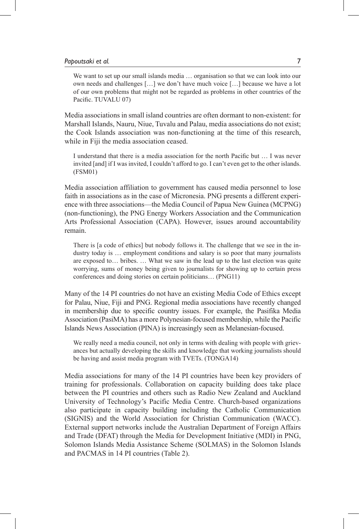We want to set up our small islands media ... organisation so that we can look into our own needs and challenges […] we don't have much voice […] because we have a lot of our own problems that might not be regarded as problems in other countries of the Pacific. TUVALU 07)

Media associations in small island countries are often dormant to non-existent: for Marshall Islands, Nauru, Niue, Tuvalu and Palau, media associations do not exist; the Cook Islands association was non-functioning at the time of this research, while in Fiji the media association ceased.

I understand that there is a media association for the north Pacific but … I was never invited [and] if I was invited, I couldn't afford to go. I can't even get to the other islands. (FSM01)

Media association affiliation to government has caused media personnel to lose faith in associations as in the case of Micronesia. PNG presents a different experience with three associations—the Media Council of Papua New Guinea (MCPNG) (non-functioning), the PNG Energy Workers Association and the Communication Arts Professional Association (CAPA). However, issues around accountability remain.

There is [a code of ethics] but nobody follows it. The challenge that we see in the industry today is … employment conditions and salary is so poor that many journalists are exposed to… bribes. … What we saw in the lead up to the last election was quite worrying, sums of money being given to journalists for showing up to certain press conferences and doing stories on certain politicians… (PNG11)

Many of the 14 PI countries do not have an existing Media Code of Ethics except for Palau, Niue, Fiji and PNG. Regional media associations have recently changed in membership due to specific country issues. For example, the Pasifika Media Association (PasiMA) has a more Polynesian-focused membership, while the Pacific Islands News Association (PINA) is increasingly seen as Melanesian-focused.

We really need a media council, not only in terms with dealing with people with grievances but actually developing the skills and knowledge that working journalists should be having and assist media program with TVETs. (TONGA14)

Media associations for many of the 14 PI countries have been key providers of training for professionals. Collaboration on capacity building does take place between the PI countries and others such as Radio New Zealand and Auckland University of Technology's Pacific Media Centre. Church-based organizations also participate in capacity building including the Catholic Communication (SIGNIS) and the World Association for Christian Communication (WACC). External support networks include the Australian Department of Foreign Affairs and Trade (DFAT) through the Media for Development Initiative (MDI) in PNG, Solomon Islands Media Assistance Scheme (SOLMAS) in the Solomon Islands and PACMAS in 14 PI countries (Table 2).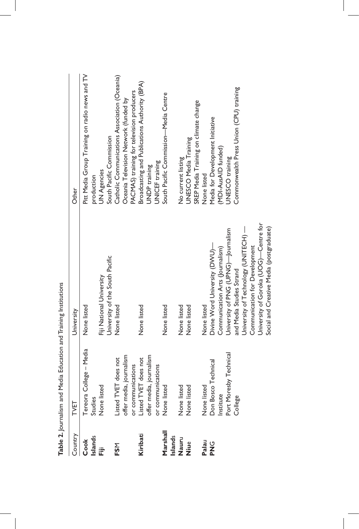| Country                 | TVET                                                                                                                    | University                               | Other                                          |
|-------------------------|-------------------------------------------------------------------------------------------------------------------------|------------------------------------------|------------------------------------------------|
| Cook<br>Islands<br>Fiji | Tereora College – Media<br>Studies<br>None listed                                                                       | None listed                              | Pitt Media Group Training on radio news and TV |
|                         |                                                                                                                         |                                          | production                                     |
|                         |                                                                                                                         | Fiji National University                 | <b>UN Agencies</b>                             |
|                         |                                                                                                                         | University of the South Pacific          | South Pacific Commission                       |
| FSM                     | Listed TVET does not<br>offer media, journalism<br>or communications<br>Listed TVET does not<br>offer media, journalism | None listed                              | Catholic Communications Association (Oceania)  |
|                         |                                                                                                                         |                                          | Oceania Television Network (funded by          |
|                         |                                                                                                                         |                                          | PACMAS) training for television producers      |
| Kiribati                |                                                                                                                         | None listed                              | Broadcasting and Publications Authority (BPA)  |
|                         |                                                                                                                         |                                          | UNDP training                                  |
|                         |                                                                                                                         |                                          | UNICEF training                                |
| Marshall                | or communications<br>None listed                                                                                        | None listed                              | South Pacific Commission-Media Centre          |
| Islands                 |                                                                                                                         |                                          |                                                |
| Nauru<br>Niue           | None listed<br>None listed                                                                                              | None listed                              | No current listing                             |
|                         |                                                                                                                         | None listed                              | UNESCO Media Training                          |
|                         |                                                                                                                         |                                          | SREP Media Training on climate change          |
| Palau<br>PNG            |                                                                                                                         | None listed                              | None listed                                    |
|                         | None listed<br>Don Bosco Technical                                                                                      | Divine Word University (DWU)-            | Media for Development Initiative               |
|                         |                                                                                                                         | Communication Arts (Journalism)          | (MDI-AusAID funded)                            |
|                         | Institute<br>Port Moresby Technical                                                                                     | University of PNG (UPNG)-Journalism      | UNESCO training                                |
|                         | Φ<br>College                                                                                                            | and Media Studies Strand                 | Commonwealth Press Union (CPU) training        |
|                         |                                                                                                                         | University of Technology (UNITECH)       |                                                |
|                         |                                                                                                                         | Communication for Development            |                                                |
|                         |                                                                                                                         | University of Goroka (UOG)-Centre for    |                                                |
|                         |                                                                                                                         | Social and Creative Media (postgraduate) |                                                |

 $\overline{\phantom{a}}$ 

| נ<br>i                                                                                   |
|------------------------------------------------------------------------------------------|
|                                                                                          |
| ֧֖֚֚֚֚֝<br>֧֧֧֧֧֦֧֦֧֚֚֚֚֚֚֚֚֚֚֚֚֚֚֚֚֚֚֚֚֚֚֚֚֚֚֚֝֝֟֓֝֓֝֓֝֝<br>֧֪֧֧֧֧֪֧֧֝֩֩֩֩֓֩֓<br>]<br>; |
|                                                                                          |
|                                                                                          |

 $\begin{array}{c} \hline \end{array}$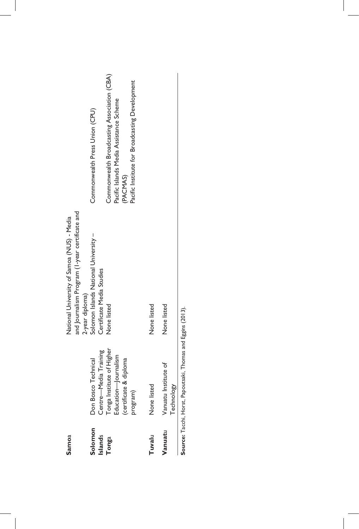| Samoa   |                                                              | and Journalism Program (1-year certificate and<br>National University of Samoa (NUS) - Media |                                                     |
|---------|--------------------------------------------------------------|----------------------------------------------------------------------------------------------|-----------------------------------------------------|
| Solomon | Don Bosco Technical                                          | Solomon Islands National University -<br>2-year diploma)                                     | Commonwealth Press Union (CPU)                      |
| Islands | Centre-Media Training                                        | Certificate Media Studies                                                                    |                                                     |
| Tonga   | Tonga Institute of Higher<br>Education—Journalism            | None listed                                                                                  | Commonwealth Broadcasting Association (CBA)         |
|         | (certificate & diploma                                       |                                                                                              | Pacific Islands Media Assistance Scheme<br>(PACMAS) |
|         | program)                                                     |                                                                                              | Pacific Institute for Broadcasting Development      |
| Tuvalu  | listed<br>None                                               | None listed                                                                                  |                                                     |
| Vanuatu | Vanuatu Institute of<br>Technology                           | None listed                                                                                  |                                                     |
|         | Source: Tacchi, Horst, Papoutsaki, Thomas and Eggins (2013). |                                                                                              |                                                     |

 $\overline{\phantom{a}}$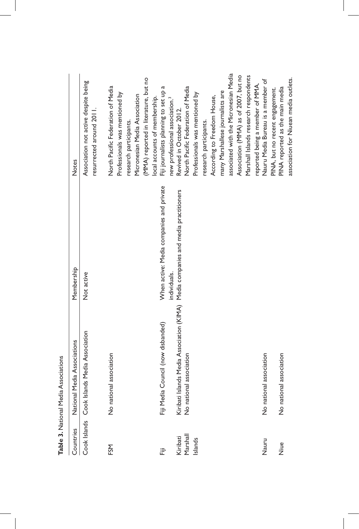|                                      | Mambamakia                             |
|--------------------------------------|----------------------------------------|
| Table 3. National Media Associations | معن أعماد مع من الله المساحد المسلم ال |
|                                      | Camatian                               |

| Countries                                | National Media Associations                        | Membership                                                                        | Notes                                                                                                                                                                                                                                                                                                                                                                                                                            |
|------------------------------------------|----------------------------------------------------|-----------------------------------------------------------------------------------|----------------------------------------------------------------------------------------------------------------------------------------------------------------------------------------------------------------------------------------------------------------------------------------------------------------------------------------------------------------------------------------------------------------------------------|
|                                          | Cook Islands Cook Islands Media Association        | Not active                                                                        | Association not active despite being<br>resurrected around 2011.                                                                                                                                                                                                                                                                                                                                                                 |
| FSM                                      | No national association                            |                                                                                   | (MMA) reported in literature, but no<br>North Pacific Federation of Media<br>Professionals was mentioned by<br>Micronesian Media Association<br>local accounts of membership.<br>research participants.                                                                                                                                                                                                                          |
| 這                                        | Fiji Media Council (now disbanded)                 | When active: Media companies and private<br>individuals.                          | Fiji journalists planning to set up a<br>new professional association. <sup>3</sup>                                                                                                                                                                                                                                                                                                                                              |
| Kiribati<br>Marshall<br>Islands<br>Nauru | No national association<br>No national association | Kiribati Islands Media Association (KIMA) Media companies and media practitioners | associated with the Micronesian Media<br>Association (MMA) as of 2007, but no<br>Marshall Islands research respondents<br>Nauru Media Bureau is a member of<br>reported being a member of MMA.<br>North Pacific Federation of Media<br>PINA, but no recent engagement.<br>many Marshallese journalists are<br>Professionals was mentioned by<br>According to Freedom House,<br>Revived in October 2012<br>research participants. |
| Niue                                     | No national association                            |                                                                                   | association for Niuean media outlets.<br>PINA reported as the main media                                                                                                                                                                                                                                                                                                                                                         |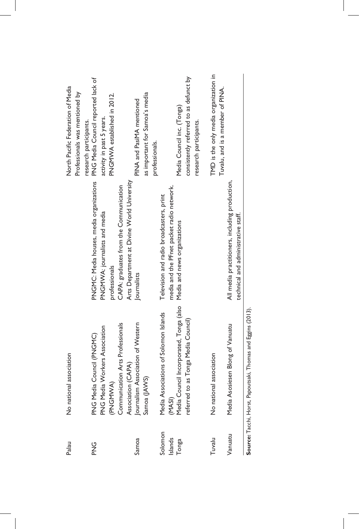| Palau                       | No national association                                                                                                           |                                                | North Pacific Federation of Media                            |
|-----------------------------|-----------------------------------------------------------------------------------------------------------------------------------|------------------------------------------------|--------------------------------------------------------------|
|                             |                                                                                                                                   |                                                | Professionals was mentioned by                               |
| PNG                         |                                                                                                                                   | PNGMC: Media houses, media organizations       | PNG Media Council reported lack of<br>research participants. |
|                             |                                                                                                                                   | PNGMWA: journalists and media                  | activity in past 5 years.                                    |
|                             |                                                                                                                                   | professionals                                  | PNGMWA established in 2012.                                  |
|                             | PNG Media Council (PNGMC)<br>PNG Media Workers Association<br>(PNGMWA)<br>Communication Arts Professionals<br>Association (CAPA)  | CAPA: graduates from the Communication         |                                                              |
|                             |                                                                                                                                   | Arts Department at Divine World University     |                                                              |
| Samoa                       |                                                                                                                                   | Journalists                                    | PINA and PasiMA mentioned                                    |
|                             | Journalism Association of Western<br>Samoa (JAWS)                                                                                 |                                                | as important for Samoa's media                               |
|                             |                                                                                                                                   |                                                | professionals.                                               |
|                             |                                                                                                                                   | Television and radio broadcasters, print       |                                                              |
|                             |                                                                                                                                   | media and the PFnet packet radio network.      |                                                              |
| Solomon<br>Islands<br>Tonga |                                                                                                                                   | Media and news organizations                   | Media Council inc. (Tonga)                                   |
|                             | Media Associations of Solomon Islands<br>(MASI)<br>Media Council Incorporated, Tonga (also<br>referred to as Tonga Media Council) |                                                | consistently referred to as defunct by                       |
|                             |                                                                                                                                   |                                                | research participants.                                       |
| Tuvalu                      | No national association                                                                                                           |                                                | TMD is the only media organization in                        |
|                             |                                                                                                                                   |                                                | Tuvalu, and is a member of PINA.                             |
| Vanuatu                     | Media Asosiesen Blong of Vanuatu                                                                                                  | All media practitioners, including production, |                                                              |
|                             |                                                                                                                                   | technical and administrative staff.            |                                                              |
|                             | $\sim$<br>$\frac{1}{2}$                                                                                                           |                                                |                                                              |

Source: Tacchi, Horst, Papoutsaki, Thomas and Eggins (2013). **Source:** Tacchi, Horst, Papoutsaki, Thomas and Eggins (2013).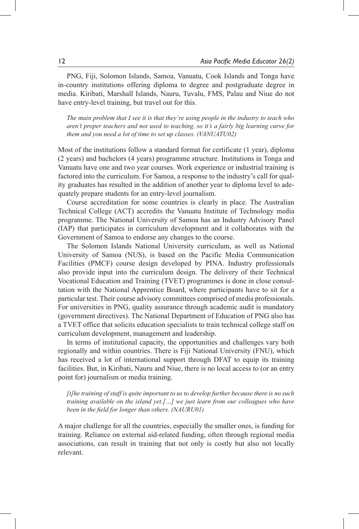PNG, Fiji, Solomon Islands, Samoa, Vanuatu, Cook Islands and Tonga have in-country institutions offering diploma to degree and postgraduate degree in media. Kiribati, Marshall Islands, Nauru, Tuvalu, FMS, Palau and Niue do not have entry-level training, but travel out for this.

*The main problem that I see it is that they're using people in the industry to teach who aren't proper teachers and not used to teaching, so it's a fairly big learning curve for them and you need a lot of time to set up classes. (VANUATU02)*

Most of the institutions follow a standard format for certificate (1 year), diploma (2 years) and bachelors (4 years) programme structure. Institutions in Tonga and Vanuatu have one and two year courses. Work experience or industrial training is factored into the curriculum. For Samoa, a response to the industry's call for quality graduates has resulted in the addition of another year to diploma level to adequately prepare students for an entry-level journalism.

Course accreditation for some countries is clearly in place. The Australian Technical College (ACT) accredits the Vanuatu Institute of Technology media programme. The National University of Samoa has an Industry Advisory Panel (IAP) that participates in curriculum development and it collaborates with the Government of Samoa to endorse any changes to the course.

The Solomon Islands National University curriculum, as well as National University of Samoa (NUS), is based on the Pacific Media Communication Facilities (PMCF) course design developed by PINA. Industry professionals also provide input into the curriculum design. The delivery of their Technical Vocational Education and Training (TVET) programmes is done in close consultation with the National Apprentice Board, where participants have to sit for a particular test. Their course advisory committees comprised of media professionals. For universities in PNG, quality assurance through academic audit is mandatory (government directives). The National Department of Education of PNG also has a TVET office that solicits education specialists to train technical college staff on curriculum development, management and leadership.

In terms of institutional capacity, the opportunities and challenges vary both regionally and within countries. There is Fiji National University (FNU), which has received a lot of international support through DFAT to equip its training facilities. But, in Kiribati, Nauru and Niue, there is no local access to (or an entry point for) journalism or media training.

*[t]he training of staff is quite important to us to develop further because there is no such training available on the island yet.[…] we just learn from our colleagues who have been in the field for longer than others. (NAURU01)*

A major challenge for all the countries, especially the smaller ones, is funding for training. Reliance on external aid-related funding, often through regional media associations, can result in training that not only is costly but also not locally relevant.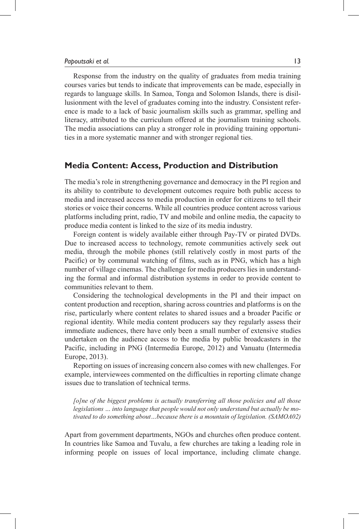#### *Papoutsaki et al.* 13

Response from the industry on the quality of graduates from media training courses varies but tends to indicate that improvements can be made, especially in regards to language skills. In Samoa, Tonga and Solomon Islands, there is disillusionment with the level of graduates coming into the industry. Consistent reference is made to a lack of basic journalism skills such as grammar, spelling and literacy, attributed to the curriculum offered at the journalism training schools. The media associations can play a stronger role in providing training opportunities in a more systematic manner and with stronger regional ties.

## **Media Content: Access, Production and Distribution**

The media's role in strengthening governance and democracy in the PI region and its ability to contribute to development outcomes require both public access to media and increased access to media production in order for citizens to tell their stories or voice their concerns. While all countries produce content across various platforms including print, radio, TV and mobile and online media, the capacity to produce media content is linked to the size of its media industry.

Foreign content is widely available either through Pay-TV or pirated DVDs. Due to increased access to technology, remote communities actively seek out media, through the mobile phones (still relatively costly in most parts of the Pacific) or by communal watching of films, such as in PNG, which has a high number of village cinemas. The challenge for media producers lies in understanding the formal and informal distribution systems in order to provide content to communities relevant to them.

Considering the technological developments in the PI and their impact on content production and reception, sharing across countries and platforms is on the rise, particularly where content relates to shared issues and a broader Pacific or regional identity. While media content producers say they regularly assess their immediate audiences, there have only been a small number of extensive studies undertaken on the audience access to the media by public broadcasters in the Pacific, including in PNG (Intermedia Europe, 2012) and Vanuatu (Intermedia Europe, 2013).

Reporting on issues of increasing concern also comes with new challenges. For example, interviewees commented on the difficulties in reporting climate change issues due to translation of technical terms.

*[o]ne of the biggest problems is actually transferring all those policies and all those legislations … into language that people would not only understand but actually be motivated to do something about…because there is a mountain of legislation. (SAMOA02)*

Apart from government departments, NGOs and churches often produce content. In countries like Samoa and Tuvalu, a few churches are taking a leading role in informing people on issues of local importance, including climate change.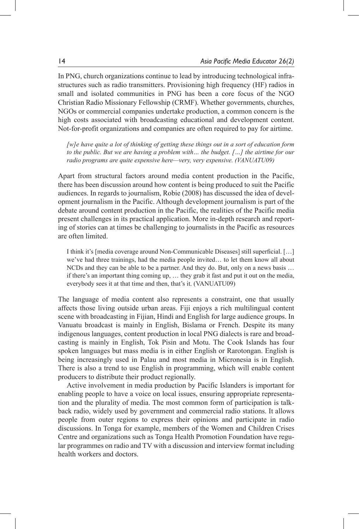In PNG, church organizations continue to lead by introducing technological infrastructures such as radio transmitters. Provisioning high frequency (HF) radios in small and isolated communities in PNG has been a core focus of the NGO Christian Radio Missionary Fellowship (CRMF). Whether governments, churches, NGOs or commercial companies undertake production, a common concern is the high costs associated with broadcasting educational and development content. Not-for-profit organizations and companies are often required to pay for airtime.

*[w]e have quite a lot of thinking of getting these things out in a sort of education form to the public. But we are having a problem with… the budget. […] the airtime for our radio programs are quite expensive here—very, very expensive. (VANUATU09)*

Apart from structural factors around media content production in the Pacific, there has been discussion around how content is being produced to suit the Pacific audiences. In regards to journalism, Robie (2008) has discussed the idea of development journalism in the Pacific. Although development journalism is part of the debate around content production in the Pacific, the realities of the Pacific media present challenges in its practical application. More in-depth research and reporting of stories can at times be challenging to journalists in the Pacific as resources are often limited.

I think it's [media coverage around Non-Communicable Diseases] still superficial. […] we've had three trainings, had the media people invited… to let them know all about NCDs and they can be able to be a partner. And they do. But, only on a news basis … if there's an important thing coming up, … they grab it fast and put it out on the media, everybody sees it at that time and then, that's it. (VANUATU09)

The language of media content also represents a constraint, one that usually affects those living outside urban areas. Fiji enjoys a rich multilingual content scene with broadcasting in Fijian, Hindi and English for large audience groups. In Vanuatu broadcast is mainly in English, Bislama or French. Despite its many indigenous languages, content production in local PNG dialects is rare and broadcasting is mainly in English, Tok Pisin and Motu. The Cook Islands has four spoken languages but mass media is in either English or Rarotongan. English is being increasingly used in Palau and most media in Micronesia is in English. There is also a trend to use English in programming, which will enable content producers to distribute their product regionally.

Active involvement in media production by Pacific Islanders is important for enabling people to have a voice on local issues, ensuring appropriate representation and the plurality of media. The most common form of participation is talkback radio, widely used by government and commercial radio stations. It allows people from outer regions to express their opinions and participate in radio discussions. In Tonga for example, members of the Women and Children Crises Centre and organizations such as Tonga Health Promotion Foundation have regular programmes on radio and TV with a discussion and interview format including health workers and doctors.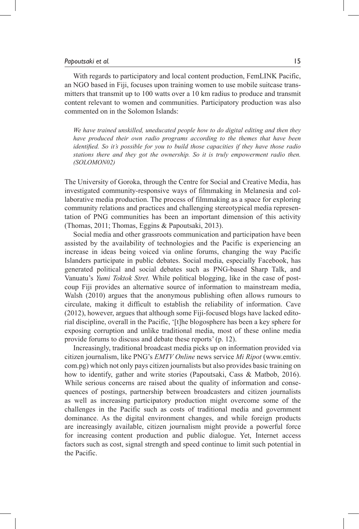With regards to participatory and local content production, FemLINK Pacific, an NGO based in Fiji, focuses upon training women to use mobile suitcase transmitters that transmit up to 100 watts over a 10 km radius to produce and transmit content relevant to women and communities. Participatory production was also commented on in the Solomon Islands:

*We have trained unskilled, uneducated people how to do digital editing and then they have produced their own radio programs according to the themes that have been identified. So it's possible for you to build those capacities if they have those radio stations there and they got the ownership. So it is truly empowerment radio then. (SOLOMON02)*

The University of Goroka, through the Centre for Social and Creative Media, has investigated community-responsive ways of filmmaking in Melanesia and collaborative media production. The process of filmmaking as a space for exploring community relations and practices and challenging stereotypical media representation of PNG communities has been an important dimension of this activity (Thomas, 2011; Thomas, Eggins & Papoutsaki, 2013).

Social media and other grassroots communication and participation have been assisted by the availability of technologies and the Pacific is experiencing an increase in ideas being voiced via online forums, changing the way Pacific Islanders participate in public debates. Social media, especially Facebook, has generated political and social debates such as PNG-based Sharp Talk, and Vanuatu's *Yumi Toktok Stret.* While political blogging, like in the case of postcoup Fiji provides an alternative source of information to mainstream media, Walsh (2010) argues that the anonymous publishing often allows rumours to circulate, making it difficult to establish the reliability of information. Cave (2012), however, argues that although some Fiji-focused blogs have lacked editorial discipline, overall in the Pacific, '[t]he blogosphere has been a key sphere for exposing corruption and unlike traditional media, most of these online media provide forums to discuss and debate these reports' (p. 12).

Increasingly, traditional broadcast media picks up on information provided via citizen journalism, like PNG's *EMTV Online* news service *Mi Ripot* (www.emtiv. com.pg) which not only pays citizen journalists but also provides basic training on how to identify, gather and write stories (Papoutsaki, Cass & Matbob, 2016). While serious concerns are raised about the quality of information and consequences of postings, partnership between broadcasters and citizen journalists as well as increasing participatory production might overcome some of the challenges in the Pacific such as costs of traditional media and government dominance. As the digital environment changes, and while foreign products are increasingly available, citizen journalism might provide a powerful force for increasing content production and public dialogue. Yet, Internet access factors such as cost, signal strength and speed continue to limit such potential in the Pacific.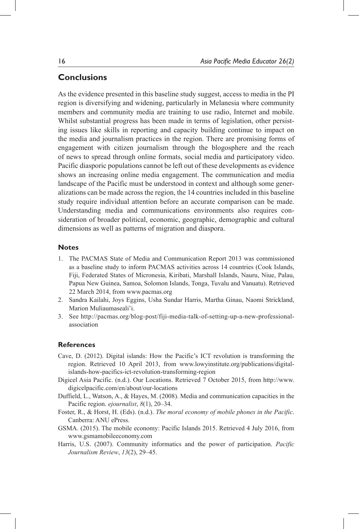## **Conclusions**

As the evidence presented in this baseline study suggest, access to media in the PI region is diversifying and widening, particularly in Melanesia where community members and community media are training to use radio, Internet and mobile. Whilst substantial progress has been made in terms of legislation, other persisting issues like skills in reporting and capacity building continue to impact on the media and journalism practices in the region. There are promising forms of engagement with citizen journalism through the blogosphere and the reach of news to spread through online formats, social media and participatory video. Pacific diasporic populations cannot be left out of these developments as evidence shows an increasing online media engagement. The communication and media landscape of the Pacific must be understood in context and although some generalizations can be made across the region, the 14 countries included in this baseline study require individual attention before an accurate comparison can be made. Understanding media and communications environments also requires consideration of broader political, economic, geographic, demographic and cultural dimensions as well as patterns of migration and diaspora.

## **Notes**

- 1. The PACMAS State of Media and Communication Report 2013 was commissioned as a baseline study to inform PACMAS activities across 14 countries (Cook Islands, Fiji, Federated States of Micronesia, Kiribati, Marshall Islands, Nauru, Niue, Palau, Papua New Guinea, Samoa, Solomon Islands, Tonga, Tuvalu and Vanuatu). Retrieved 22 March 2014, from www.pacmas.org
- 2. Sandra Kailahi, Joys Eggins, Usha Sundar Harris, Martha Ginau, Naomi Strickland, Marion Muliaumaseali'i.
- 3. See http://pacmas.org/blog-post/fiji-media-talk-of-setting-up-a-new-professionalassociation

## **References**

- Cave, D. (2012). Digital islands: How the Pacific's ICT revolution is transforming the region. Retrieved 10 April 2013, from www.lowyinstitute.org/publications/digitalislands-how-pacifics-ict-revolution-transforming-region
- Digicel Asia Pacific. (n.d.). Our Locations. Retrieved 7 October 2015, from http://www. digicelpacific.com/en/about/our-locations
- Duffield, L., Watson, A., & Hayes, M. (2008). Media and communication capacities in the Pacific region. *ejournalist*, *8*(1), 20–34.
- Foster, R., & Horst, H. (Eds). (n.d.). *The moral economy of mobile phones in the Pacific*. Canberra: ANU ePress.
- GSMA. (2015). The mobile economy: Pacific Islands 2015. Retrieved 4 July 2016, from www.gsmamobileeconomy.com
- Harris, U.S. (2007). Community informatics and the power of participation. *Pacific Journalism Review*, *13*(2), 29–45.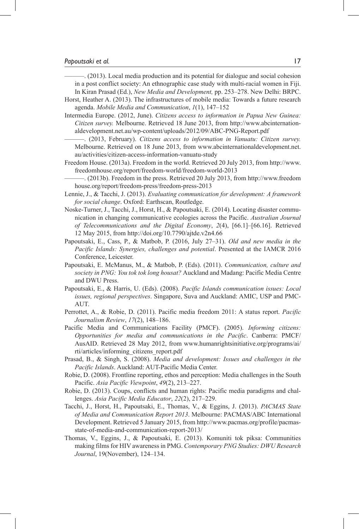———. (2013). Local media production and its potential for dialogue and social cohesion in a post conflict society: An ethnographic case study with multi-racial women in Fiji.

In Kiran Prasad (Ed.), *New Media and Development,* pp. 253–278. New Delhi: BRPC. Horst, Heather A. (2013). The infrastructures of mobile media: Towards a future research agenda. *Mobile Media and Communication*, *1*(1), 147–152

Intermedia Europe. (2012, June). *Citizens access to information in Papua New Guinea: Citizen survey.* Melbourne. Retrieved 18 June 2013, from http://www.abcinternationaldevelopment.net.au/wp-content/uploads/2012/09/ABC-PNG-Report.pdf

———. (2013, February). *Citizens access to information in Vanuatu: Citizen survey.* Melbourne. Retrieved on 18 June 2013, from www.abcinternationaldevelopment.net. au/activities/citizen-access-information-vanuatu-study

- Freedom House. (2013a). Freedom in the world. Retrieved 20 July 2013, from http://www. freedomhouse.org/report/freedom-world/freedom-world-2013
- ———. (2013b). Freedom in the press. Retrieved 20 July 2013, from http://www.freedom house.org/report/freedom-press/freedom-press-2013
- Lennie, J., & Tacchi, J. (2013). *Evaluating communication for development: A framework for social change*. Oxford: Earthscan, Routledge.
- Noske-Turner, J., Tacchi, J., Horst, H., & Papoutsaki, E. (2014). Locating disaster communication in changing communicative ecologies across the Pacific. *Australian Journal of Telecommunications and the Digital Economy*, *2*(4), [66.1]–[66.16]. Retrieved 12 May 2015, from http://doi.org/10.7790/ajtde.v2n4.66
- Papoutsaki, E., Cass, P., & Matbob, P. (2016, July 27–31). *Old and new media in the Pacific Islands: Synergies, challenges and potential*. Presented at the IAMCR 2016 Conference, Leicester.
- Papoutsaki, E. McManus, M., & Matbob, P. (Eds). (2011). *Communication, culture and society in PNG: You tok tok long housat?* Auckland and Madang: Pacific Media Centre and DWU Press.
- Papoutsaki, E., & Harris, U. (Eds). (2008). *Pacific Islands communication issues: Local issues, regional perspectives*. Singapore, Suva and Auckland: AMIC, USP and PMC-AUT.
- Perrottet, A., & Robie, D. (2011). Pacific media freedom 2011: A status report. *Pacific Journalism Review*, *17*(2), 148–186.
- Pacific Media and Communications Facility (PMCF). (2005). *Informing citizens: Opportunities for media and communications in the Pacific*. Canberra: PMCF/ AusAID. Retrieved 28 May 2012, from www.humanrightsinitiative.org/programs/ai/ rti/articles/informing\_citizens\_report.pdf
- Prasad, B., & Singh, S. (2008). *Media and development: Issues and challenges in the Pacific Islands*. Auckland: AUT-Pacific Media Center.
- Robie, D. (2008). Frontline reporting, ethos and perception: Media challenges in the South Pacific. *Asia Pacific Viewpoint*, *49*(2), 213–227.
- Robie, D. (2013). Coups, conflicts and human rights: Pacific media paradigms and challenges. *Asia Pacific Media Educator*, *22*(2), 217–229.
- Tacchi, J., Horst, H., Papoutsaki, E., Thomas, V., & Eggins, J. (2013). *PACMAS State of Media and Communication Report 2013*. Melbourne: PACMAS/ABC International Development. Retrieved 5 January 2015, from http://www.pacmas.org/profile/pacmasstate-of-media-and-communication-report-2013/
- Thomas, V., Eggins, J., & Papoutsaki, E. (2013). Komuniti tok piksa: Communities making films for HIV awareness in PMG. *Contemporary PNG Studies: DWU Research Journal*, 19(November), 124–134.